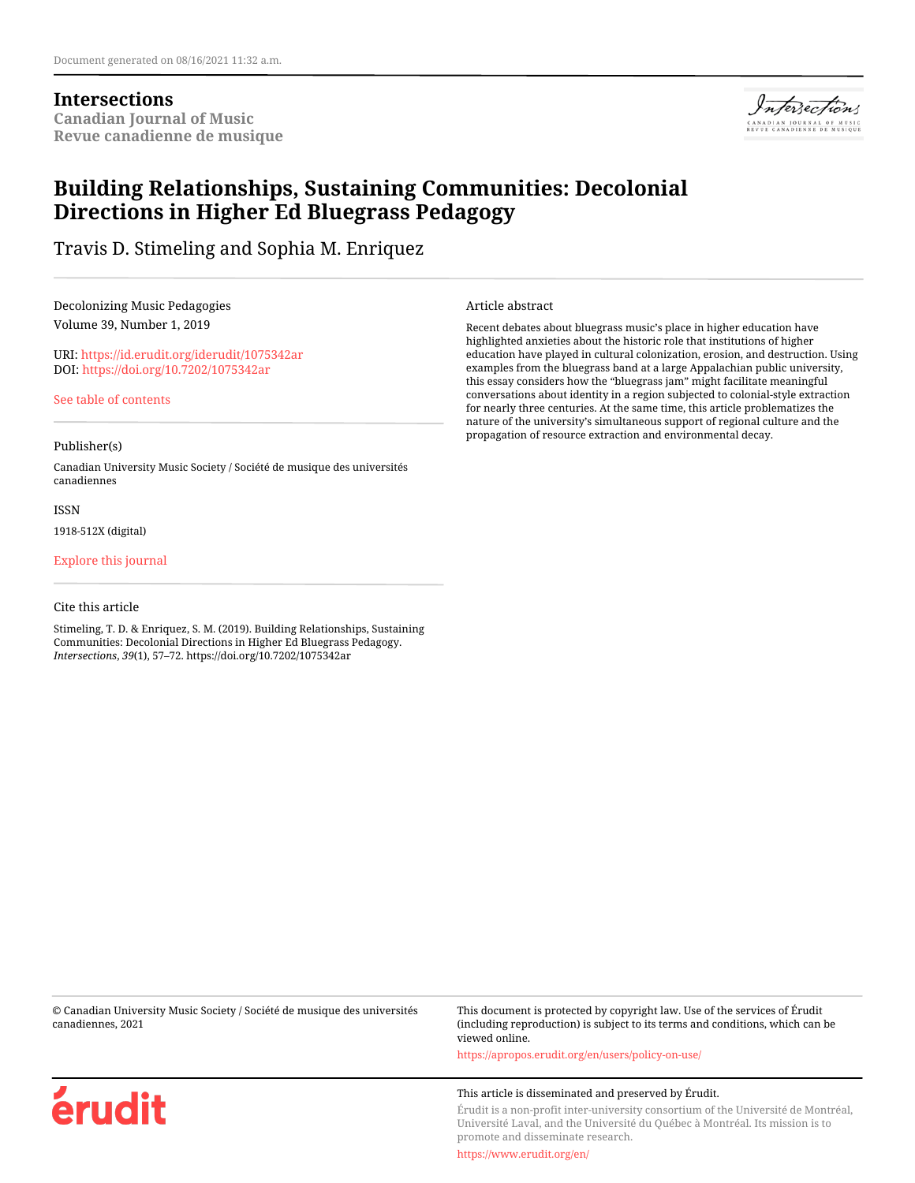## **Intersections Canadian Journal of Music Revue canadienne de musique**



# **Building Relationships, Sustaining Communities: Decolonial Directions in Higher Ed Bluegrass Pedagogy**

Travis D. Stimeling and Sophia M. Enriquez

Decolonizing Music Pedagogies Volume 39, Number 1, 2019

URI:<https://id.erudit.org/iderudit/1075342ar> DOI:<https://doi.org/10.7202/1075342ar>

[See table of contents](https://www.erudit.org/en/journals/is/2019-v39-n1-is05836/)

#### Publisher(s)

Canadian University Music Society / Société de musique des universités canadiennes

ISSN

1918-512X (digital)

[Explore this journal](https://www.erudit.org/en/journals/is/)

#### Cite this article

érudit

Stimeling, T. D. & Enriquez, S. M. (2019). Building Relationships, Sustaining Communities: Decolonial Directions in Higher Ed Bluegrass Pedagogy. *Intersections*, *39*(1), 57–72. https://doi.org/10.7202/1075342ar

Article abstract

Recent debates about bluegrass music's place in higher education have highlighted anxieties about the historic role that institutions of higher education have played in cultural colonization, erosion, and destruction. Using examples from the bluegrass band at a large Appalachian public university, this essay considers how the "bluegrass jam" might facilitate meaningful conversations about identity in a region subjected to colonial-style extraction for nearly three centuries. At the same time, this article problematizes the nature of the university's simultaneous support of regional culture and the propagation of resource extraction and environmental decay.

© Canadian University Music Society / Société de musique des universités canadiennes, 2021

This document is protected by copyright law. Use of the services of Érudit (including reproduction) is subject to its terms and conditions, which can be viewed online.

<https://apropos.erudit.org/en/users/policy-on-use/>

#### This article is disseminated and preserved by Érudit.

Érudit is a non-profit inter-university consortium of the Université de Montréal, Université Laval, and the Université du Québec à Montréal. Its mission is to promote and disseminate research.

<https://www.erudit.org/en/>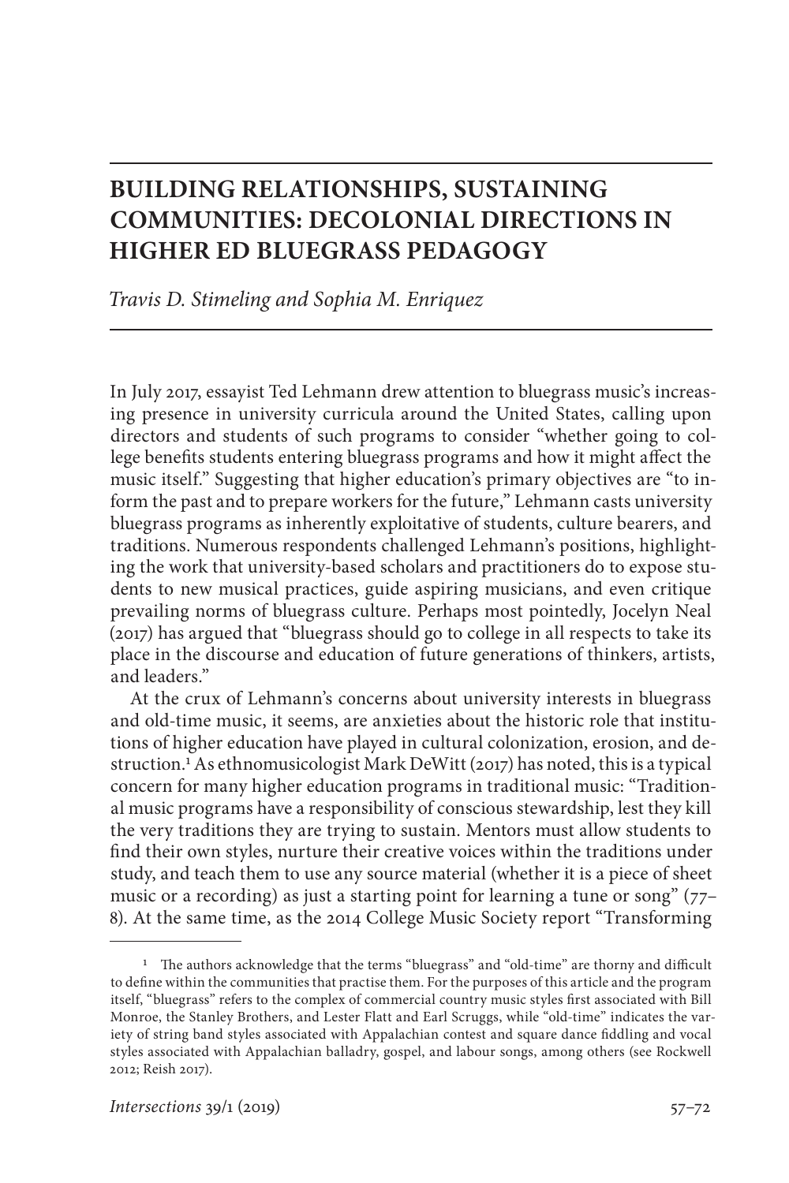# **BUILDING RELATIONSHIPS, SUSTAINING COMMUNITIES: DECOLONIAL DIRECTIONS IN HIGHER ED BLUEGRASS PEDAGOGY**

*Travis D. Stimeling and Sophia M. Enriquez*

In July 2017, essayist Ted Lehmann drew attention to bluegrass music's increasing presence in university curricula around the United States, calling upon directors and students of such programs to consider "whether going to college benefits students entering bluegrass programs and how it might affect the music itself." Suggesting that higher education's primary objectives are "to inform the past and to prepare workers for the future," Lehmann casts university bluegrass programs as inherently exploitative of students, culture bearers, and traditions. Numerous respondents challenged Lehmann's positions, highlighting the work that university-based scholars and practitioners do to expose students to new musical practices, guide aspiring musicians, and even critique prevailing norms of bluegrass culture. Perhaps most pointedly, Jocelyn Neal (2017) has argued that "bluegrass should go to college in all respects to take its place in the discourse and education of future generations of thinkers, artists, and leaders."

At the crux of Lehmann's concerns about university interests in bluegrass and old-time music, it seems, are anxieties about the historic role that institutions of higher education have played in cultural colonization, erosion, and destruction.1 As ethnomusicologist Mark DeWitt (2017) has noted, this is a typical concern for many higher education programs in traditional music: "Traditional music programs have a responsibility of conscious stewardship, lest they kill the very traditions they are trying to sustain. Mentors must allow students to find their own styles, nurture their creative voices within the traditions under study, and teach them to use any source material (whether it is a piece of sheet music or a recording) as just a starting point for learning a tune or song" (77– 8). At the same time, as the 2014 College Music Society report "Transforming

<sup>1</sup> The authors acknowledge that the terms "bluegrass" and "old-time" are thorny and difficult to define within the communities that practise them. For the purposes of this article and the program itself, "bluegrass" refers to the complex of commercial country music styles first associated with Bill Monroe, the Stanley Brothers, and Lester Flatt and Earl Scruggs, while "old-time" indicates the variety of string band styles associated with Appalachian contest and square dance fiddling and vocal styles associated with Appalachian balladry, gospel, and labour songs, among others (see Rockwell 2012; Reish 2017).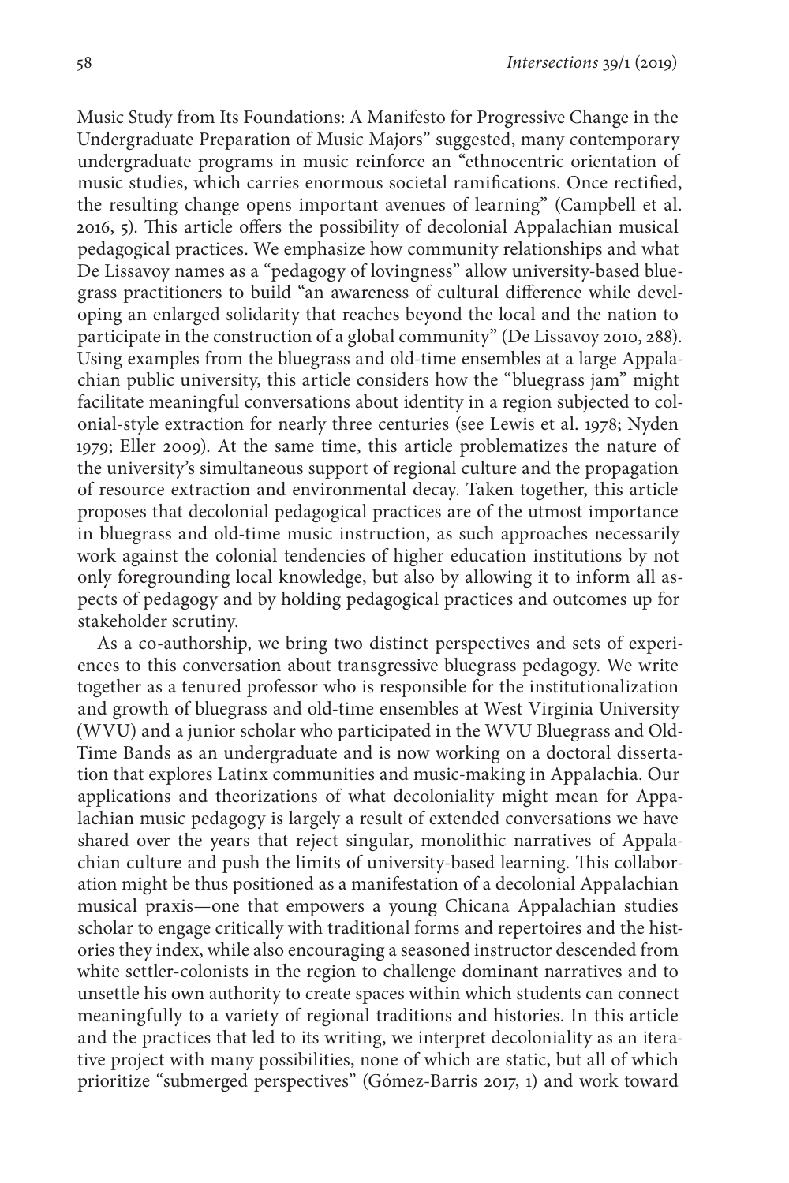Music Study from Its Foundations: A Manifesto for Progressive Change in the Undergraduate Preparation of Music Majors" suggested, many contemporary undergraduate programs in music reinforce an "ethnocentric orientation of music studies, which carries enormous societal ramifications. Once rectified, the resulting change opens important avenues of learning" (Campbell et al. 2016, 5). This article offers the possibility of decolonial Appalachian musical pedagogical practices. We emphasize how community relationships and what De Lissavoy names as a "pedagogy of lovingness" allow university-based bluegrass practitioners to build "an awareness of cultural difference while developing an enlarged solidarity that reaches beyond the local and the nation to participate in the construction of a global community" (De Lissavoy 2010, 288). Using examples from the bluegrass and old-time ensembles at a large Appalachian public university, this article considers how the "bluegrass jam" might facilitate meaningful conversations about identity in a region subjected to colonial-style extraction for nearly three centuries (see Lewis et al. 1978; Nyden 1979; Eller 2009). At the same time, this article problematizes the nature of the university's simultaneous support of regional culture and the propagation of resource extraction and environmental decay. Taken together, this article proposes that decolonial pedagogical practices are of the utmost importance in bluegrass and old-time music instruction, as such approaches necessarily work against the colonial tendencies of higher education institutions by not only foregrounding local knowledge, but also by allowing it to inform all aspects of pedagogy and by holding pedagogical practices and outcomes up for stakeholder scrutiny.

As a co-authorship, we bring two distinct perspectives and sets of experiences to this conversation about transgressive bluegrass pedagogy. We write together as a tenured professor who is responsible for the institutionalization and growth of bluegrass and old-time ensembles at West Virginia University (WVU) and a junior scholar who participated in the WVU Bluegrass and Old-Time Bands as an undergraduate and is now working on a doctoral dissertation that explores Latinx communities and music-making in Appalachia. Our applications and theorizations of what decoloniality might mean for Appalachian music pedagogy is largely a result of extended conversations we have shared over the years that reject singular, monolithic narratives of Appalachian culture and push the limits of university-based learning. This collaboration might be thus positioned as a manifestation of a decolonial Appalachian musical praxis—one that empowers a young Chicana Appalachian studies scholar to engage critically with traditional forms and repertoires and the histories they index, while also encouraging a seasoned instructor descended from white settler-colonists in the region to challenge dominant narratives and to unsettle his own authority to create spaces within which students can connect meaningfully to a variety of regional traditions and histories. In this article and the practices that led to its writing, we interpret decoloniality as an iterative project with many possibilities, none of which are static, but all of which prioritize "submerged perspectives" (Gómez-Barris 2017, 1) and work toward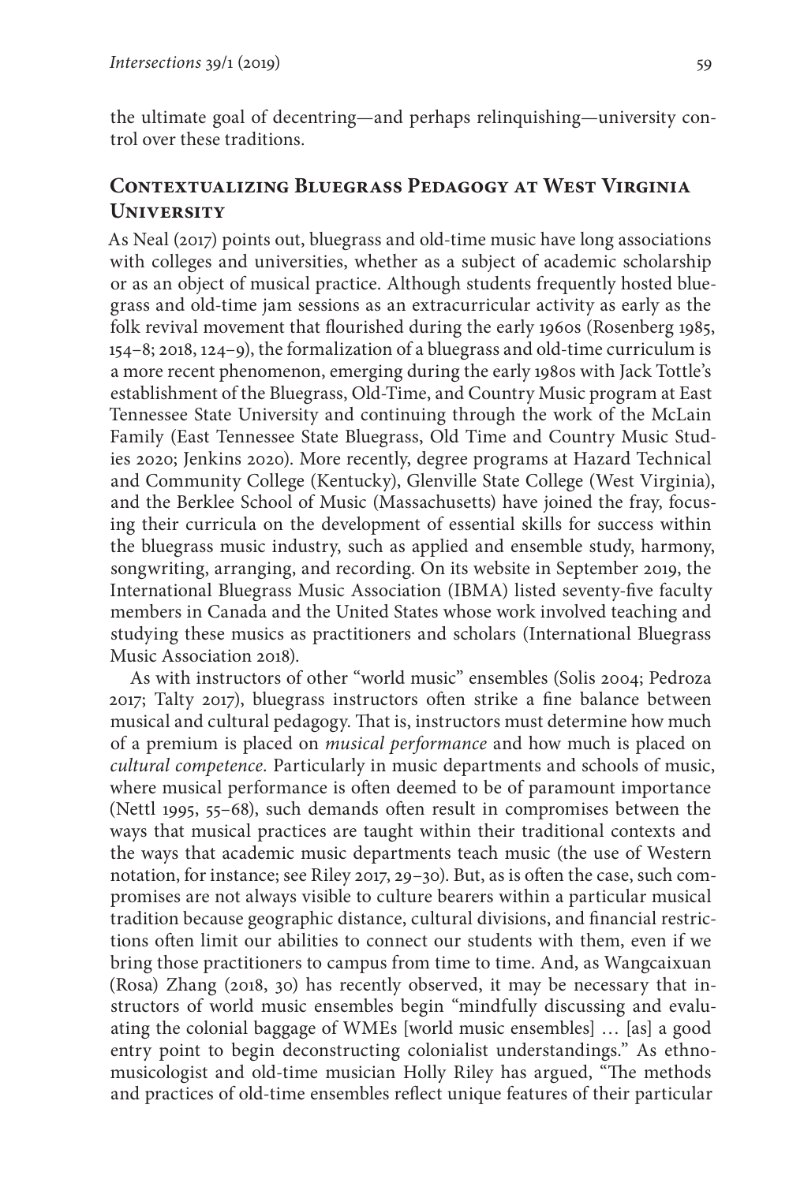the ultimate goal of decentring—and perhaps relinquishing—university control over these traditions.

## **Contextualizing Bluegrass Pedagogy at West Virginia University**

As Neal (2017) points out, bluegrass and old-time music have long associations with colleges and universities, whether as a subject of academic scholarship or as an object of musical practice. Although students frequently hosted bluegrass and old-time jam sessions as an extracurricular activity as early as the folk revival movement that flourished during the early 1960s (Rosenberg 1985, 154–8; 2018, 124–9), the formalization of a bluegrass and old-time curriculum is a more recent phenomenon, emerging during the early 1980s with Jack Tottle's establishment of the Bluegrass, Old-Time, and Country Music program at East Tennessee State University and continuing through the work of the McLain Family (East Tennessee State Bluegrass, Old Time and Country Music Studies 2020; Jenkins 2020). More recently, degree programs at Hazard Technical and Community College (Kentucky), Glenville State College (West Virginia), and the Berklee School of Music (Massachusetts) have joined the fray, focusing their curricula on the development of essential skills for success within the bluegrass music industry, such as applied and ensemble study, harmony, songwriting, arranging, and recording. On its website in September 2019, the International Bluegrass Music Association (IBMA) listed seventy-five faculty members in Canada and the United States whose work involved teaching and studying these musics as practitioners and scholars (International Bluegrass Music Association 2018).

As with instructors of other "world music" ensembles (Solis 2004; Pedroza 2017; Talty 2017), bluegrass instructors often strike a fine balance between musical and cultural pedagogy. That is, instructors must determine how much of a premium is placed on *musical performance* and how much is placed on *cultural competence.* Particularly in music departments and schools of music, where musical performance is often deemed to be of paramount importance (Nettl 1995, 55–68), such demands often result in compromises between the ways that musical practices are taught within their traditional contexts and the ways that academic music departments teach music (the use of Western notation, for instance; see Riley 2017, 29–30). But, as is often the case, such compromises are not always visible to culture bearers within a particular musical tradition because geographic distance, cultural divisions, and financial restrictions often limit our abilities to connect our students with them, even if we bring those practitioners to campus from time to time. And, as Wangcaixuan (Rosa) Zhang (2018, 30) has recently observed, it may be necessary that instructors of world music ensembles begin "mindfully discussing and evaluating the colonial baggage of WMEs [world music ensembles] … [as] a good entry point to begin deconstructing colonialist understandings." As ethnomusicologist and old-time musician Holly Riley has argued, "The methods and practices of old-time ensembles reflect unique features of their particular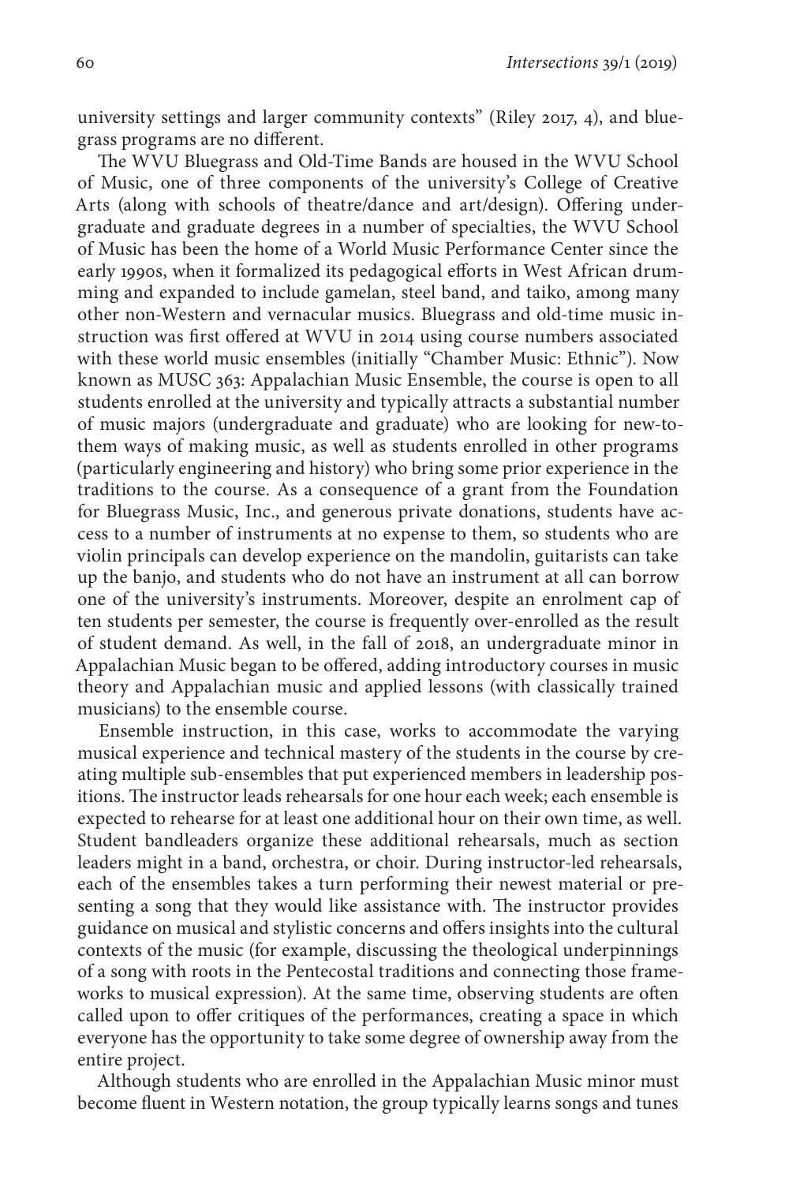university settings and larger community contexts" (Riley 2017, 4), and bluegrass programs are no different.

The WVU Bluegrass and Old-Time Bands are housed in the WVU School of Music, one of three components of the university's College of Creative Arts (along with schools of theatre/dance and art/design). Offering undergraduate and graduate degrees in a number of specialties, the WVU School of Music has been the home of a World Music Performance Center since the early 1990s, when it formalized its pedagogical efforts in West African drumming and expanded to include gamelan, steel band, and taiko, among many other non-Western and vernacular musics. Bluegrass and old-time music instruction was first offered at WVU in 2014 using course numbers associated with these world music ensembles (initially "Chamber Music: Ethnic"). Now known as MUSC 363: Appalachian Music Ensemble, the course is open to all students enrolled at the university and typically attracts a substantial number of music majors (undergraduate and graduate) who are looking for new-tothem ways of making music, as well as students enrolled in other programs (particularly engineering and history) who bring some prior experience in the traditions to the course. As a consequence of a grant from the Foundation for Bluegrass Music, Inc., and generous private donations, students have access to a number of instruments at no expense to them, so students who are violin principals can develop experience on the mandolin, guitarists can take up the banjo, and students who do not have an instrument at all can borrow one of the university's instruments. Moreover, despite an enrolment cap of ten students per semester, the course is frequently over-enrolled as the result of student demand. As well, in the fall of 2018, an undergraduate minor in Appalachian Music began to be offered, adding introductory courses in music theory and Appalachian music and applied lessons (with classically trained musicians) to the ensemble course.

Ensemble instruction, in this case, works to accommodate the varying musical experience and technical mastery of the students in the course by creating multiple sub-ensembles that put experienced members in leadership positions. The instructor leads rehearsals for one hour each week; each ensemble is expected to rehearse for at least one additional hour on their own time, as well. Student bandleaders organize these additional rehearsals, much as section leaders might in a band, orchestra, or choir. During instructor-led rehearsals, each of the ensembles takes a turn performing their newest material or presenting a song that they would like assistance with. The instructor provides guidance on musical and stylistic concerns and offers insights into the cultural contexts of the music (for example, discussing the theological underpinnings of a song with roots in the Pentecostal traditions and connecting those frameworks to musical expression). At the same time, observing students are often called upon to offer critiques of the performances, creating a space in which everyone has the opportunity to take some degree of ownership away from the entire project.

Although students who are enrolled in the Appalachian Music minor must become fluent in Western notation, the group typically learns songs and tunes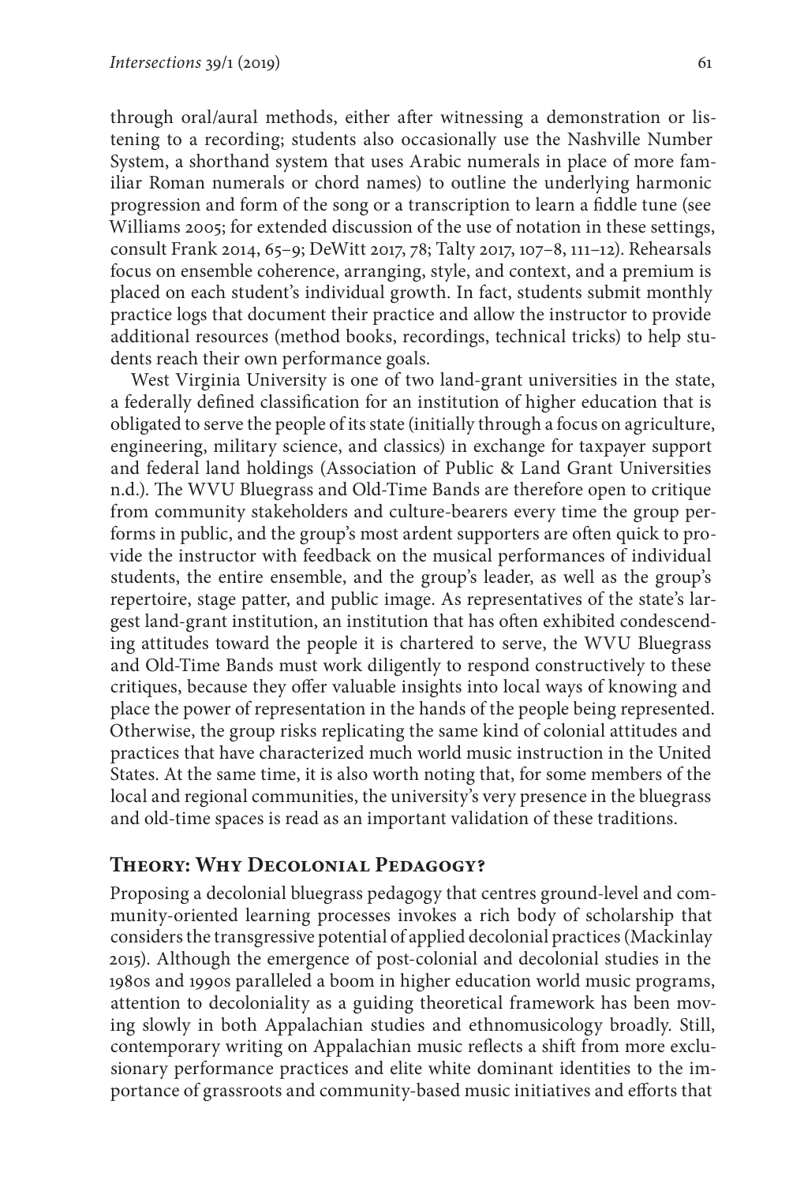through oral/aural methods, either after witnessing a demonstration or listening to a recording; students also occasionally use the Nashville Number System, a shorthand system that uses Arabic numerals in place of more familiar Roman numerals or chord names) to outline the underlying harmonic progression and form of the song or a transcription to learn a fiddle tune (see Williams 2005; for extended discussion of the use of notation in these settings, consult Frank 2014, 65–9; DeWitt 2017, 78; Talty 2017, 107–8, 111–12). Rehearsals focus on ensemble coherence, arranging, style, and context, and a premium is placed on each student's individual growth. In fact, students submit monthly practice logs that document their practice and allow the instructor to provide additional resources (method books, recordings, technical tricks) to help students reach their own performance goals.

West Virginia University is one of two land-grant universities in the state, a federally defined classification for an institution of higher education that is obligated to serve the people of its state (initially through a focus on agriculture, engineering, military science, and classics) in exchange for taxpayer support and federal land holdings (Association of Public & Land Grant Universities n.d.). The WVU Bluegrass and Old-Time Bands are therefore open to critique from community stakeholders and culture-bearers every time the group performs in public, and the group's most ardent supporters are often quick to provide the instructor with feedback on the musical performances of individual students, the entire ensemble, and the group's leader, as well as the group's repertoire, stage patter, and public image. As representatives of the state's largest land-grant institution, an institution that has often exhibited condescending attitudes toward the people it is chartered to serve, the WVU Bluegrass and Old-Time Bands must work diligently to respond constructively to these critiques, because they offer valuable insights into local ways of knowing and place the power of representation in the hands of the people being represented. Otherwise, the group risks replicating the same kind of colonial attitudes and practices that have characterized much world music instruction in the United States. At the same time, it is also worth noting that, for some members of the local and regional communities, the university's very presence in the bluegrass and old-time spaces is read as an important validation of these traditions.

#### **Theory: Why Decolonial Pedagogy?**

Proposing a decolonial bluegrass pedagogy that centres ground-level and community-oriented learning processes invokes a rich body of scholarship that considers the transgressive potential of applied decolonial practices (Mackinlay 2015). Although the emergence of post-colonial and decolonial studies in the 1980s and 1990s paralleled a boom in higher education world music programs, attention to decoloniality as a guiding theoretical framework has been moving slowly in both Appalachian studies and ethnomusicology broadly. Still, contemporary writing on Appalachian music reflects a shift from more exclusionary performance practices and elite white dominant identities to the importance of grassroots and community-based music initiatives and efforts that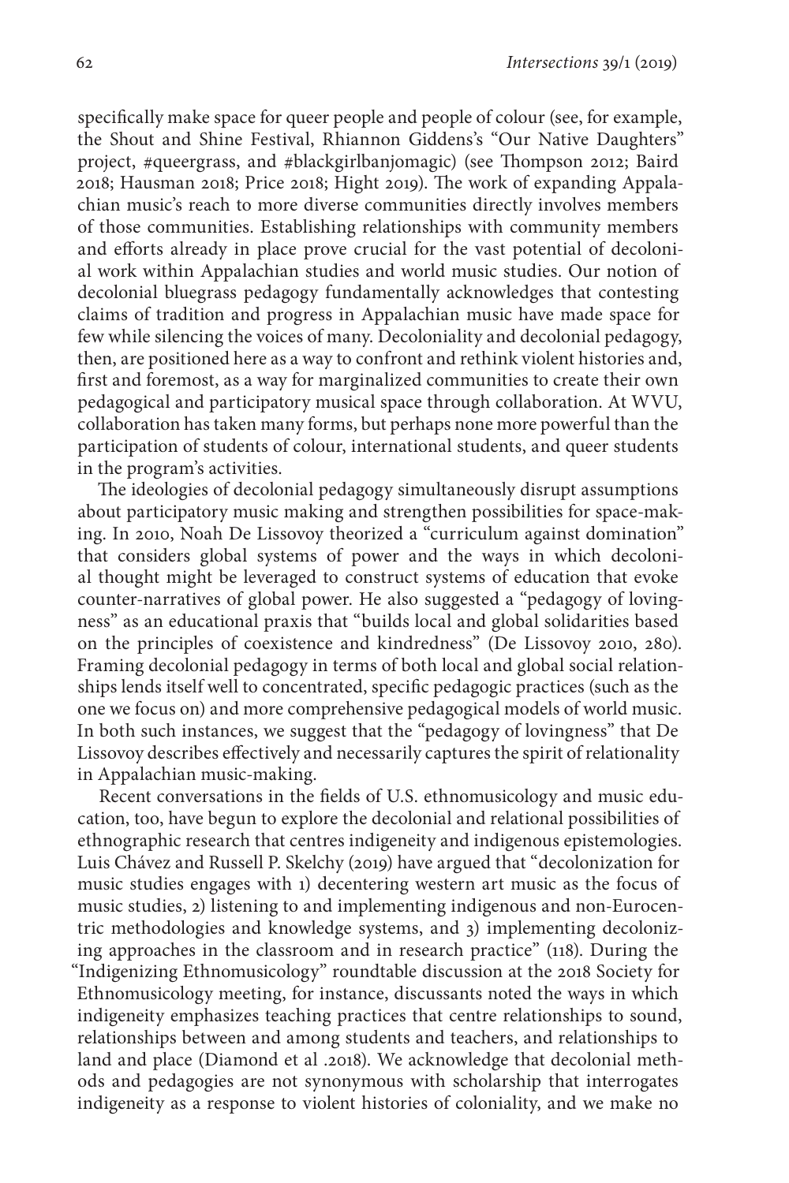specifically make space for queer people and people of colour (see, for example, the Shout and Shine Festival, Rhiannon Giddens's "Our Native Daughters" project, #queergrass, and #blackgirlbanjomagic) (see Thompson 2012; Baird 2018; Hausman 2018; Price 2018; Hight 2019). The work of expanding Appalachian music's reach to more diverse communities directly involves members of those communities. Establishing relationships with community members and efforts already in place prove crucial for the vast potential of decolonial work within Appalachian studies and world music studies. Our notion of decolonial bluegrass pedagogy fundamentally acknowledges that contesting claims of tradition and progress in Appalachian music have made space for few while silencing the voices of many. Decoloniality and decolonial pedagogy, then, are positioned here as a way to confront and rethink violent histories and, first and foremost, as a way for marginalized communities to create their own pedagogical and participatory musical space through collaboration. At WVU, collaboration has taken many forms, but perhaps none more powerful than the participation of students of colour, international students, and queer students in the program's activities.

The ideologies of decolonial pedagogy simultaneously disrupt assumptions about participatory music making and strengthen possibilities for space-making. In 2010, Noah De Lissovoy theorized a "curriculum against domination" that considers global systems of power and the ways in which decolonial thought might be leveraged to construct systems of education that evoke counter-narratives of global power. He also suggested a "pedagogy of lovingness" as an educational praxis that "builds local and global solidarities based on the principles of coexistence and kindredness" (De Lissovoy 2010, 280). Framing decolonial pedagogy in terms of both local and global social relationships lends itself well to concentrated, specific pedagogic practices (such as the one we focus on) and more comprehensive pedagogical models of world music. In both such instances, we suggest that the "pedagogy of lovingness" that De Lissovoy describes effectively and necessarily captures the spirit of relationality in Appalachian music-making.

Recent conversations in the fields of U.S. ethnomusicology and music education, too, have begun to explore the decolonial and relational possibilities of ethnographic research that centres indigeneity and indigenous epistemologies. Luis Chávez and Russell P. Skelchy (2019) have argued that "decolonization for music studies engages with 1) decentering western art music as the focus of music studies, 2) listening to and implementing indigenous and non-Eurocentric methodologies and knowledge systems, and 3) implementing decolonizing approaches in the classroom and in research practice" (118). During the "Indigenizing Ethnomusicology" roundtable discussion at the 2018 Society for Ethnomusicology meeting, for instance, discussants noted the ways in which indigeneity emphasizes teaching practices that centre relationships to sound, relationships between and among students and teachers, and relationships to land and place (Diamond et al .2018). We acknowledge that decolonial methods and pedagogies are not synonymous with scholarship that interrogates indigeneity as a response to violent histories of coloniality, and we make no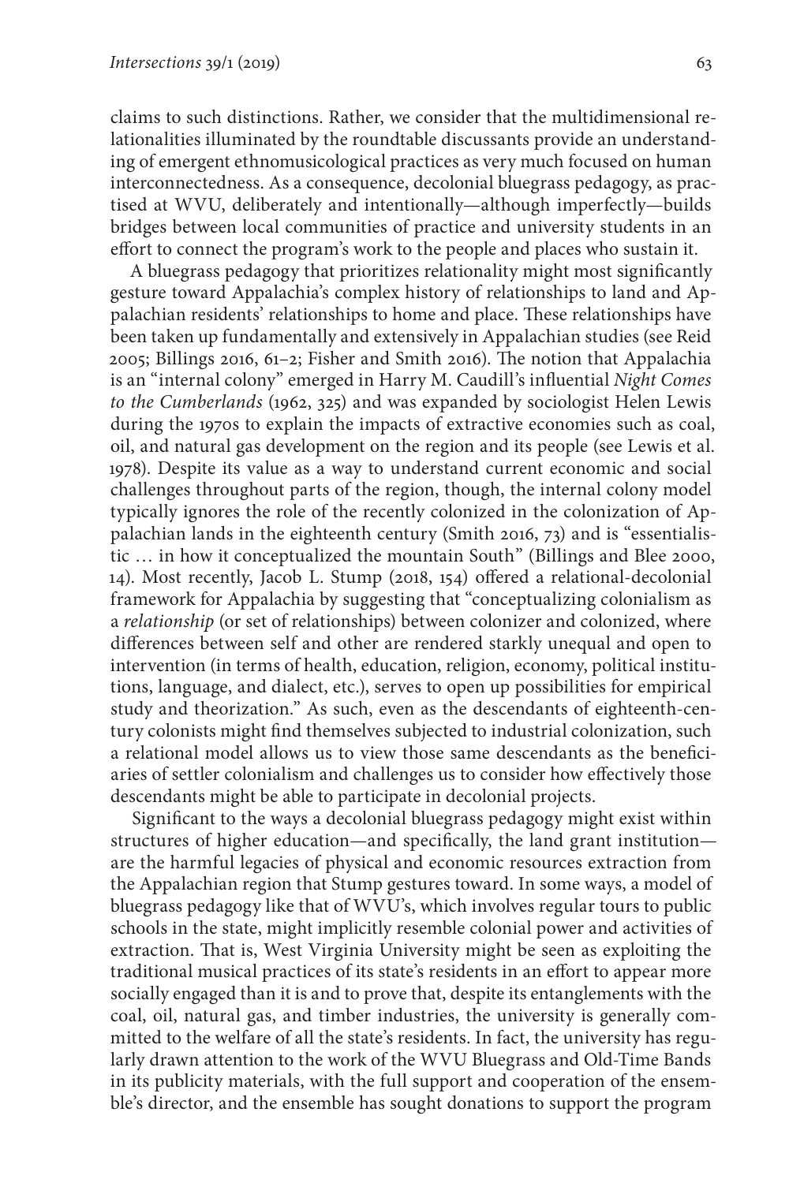claims to such distinctions. Rather, we consider that the multidimensional relationalities illuminated by the roundtable discussants provide an understanding of emergent ethnomusicological practices as very much focused on human interconnectedness. As a consequence, decolonial bluegrass pedagogy, as practised at WVU, deliberately and intentionally—although imperfectly—builds bridges between local communities of practice and university students in an effort to connect the program's work to the people and places who sustain it.

A bluegrass pedagogy that prioritizes relationality might most significantly gesture toward Appalachia's complex history of relationships to land and Appalachian residents' relationships to home and place. These relationships have been taken up fundamentally and extensively in Appalachian studies (see Reid 2005; Billings 2016, 61–2; Fisher and Smith 2016). The notion that Appalachia is an "internal colony" emerged in Harry M. Caudill's influential *Night Comes to the Cumberlands* (1962, 325) and was expanded by sociologist Helen Lewis during the 1970s to explain the impacts of extractive economies such as coal, oil, and natural gas development on the region and its people (see Lewis et al. 1978). Despite its value as a way to understand current economic and social challenges throughout parts of the region, though, the internal colony model typically ignores the role of the recently colonized in the colonization of Appalachian lands in the eighteenth century (Smith 2016, 73) and is "essentialistic … in how it conceptualized the mountain South" (Billings and Blee 2000, 14). Most recently, Jacob L. Stump (2018, 154) offered a relational-decolonial framework for Appalachia by suggesting that "conceptualizing colonialism as a *relationship* (or set of relationships) between colonizer and colonized, where differences between self and other are rendered starkly unequal and open to intervention (in terms of health, education, religion, economy, political institutions, language, and dialect, etc.), serves to open up possibilities for empirical study and theorization." As such, even as the descendants of eighteenth-century colonists might find themselves subjected to industrial colonization, such a relational model allows us to view those same descendants as the beneficiaries of settler colonialism and challenges us to consider how effectively those descendants might be able to participate in decolonial projects.

Significant to the ways a decolonial bluegrass pedagogy might exist within structures of higher education—and specifically, the land grant institution are the harmful legacies of physical and economic resources extraction from the Appalachian region that Stump gestures toward. In some ways, a model of bluegrass pedagogy like that of WVU's, which involves regular tours to public schools in the state, might implicitly resemble colonial power and activities of extraction. That is, West Virginia University might be seen as exploiting the traditional musical practices of its state's residents in an effort to appear more socially engaged than it is and to prove that, despite its entanglements with the coal, oil, natural gas, and timber industries, the university is generally committed to the welfare of all the state's residents. In fact, the university has regularly drawn attention to the work of the WVU Bluegrass and Old-Time Bands in its publicity materials, with the full support and cooperation of the ensemble's director, and the ensemble has sought donations to support the program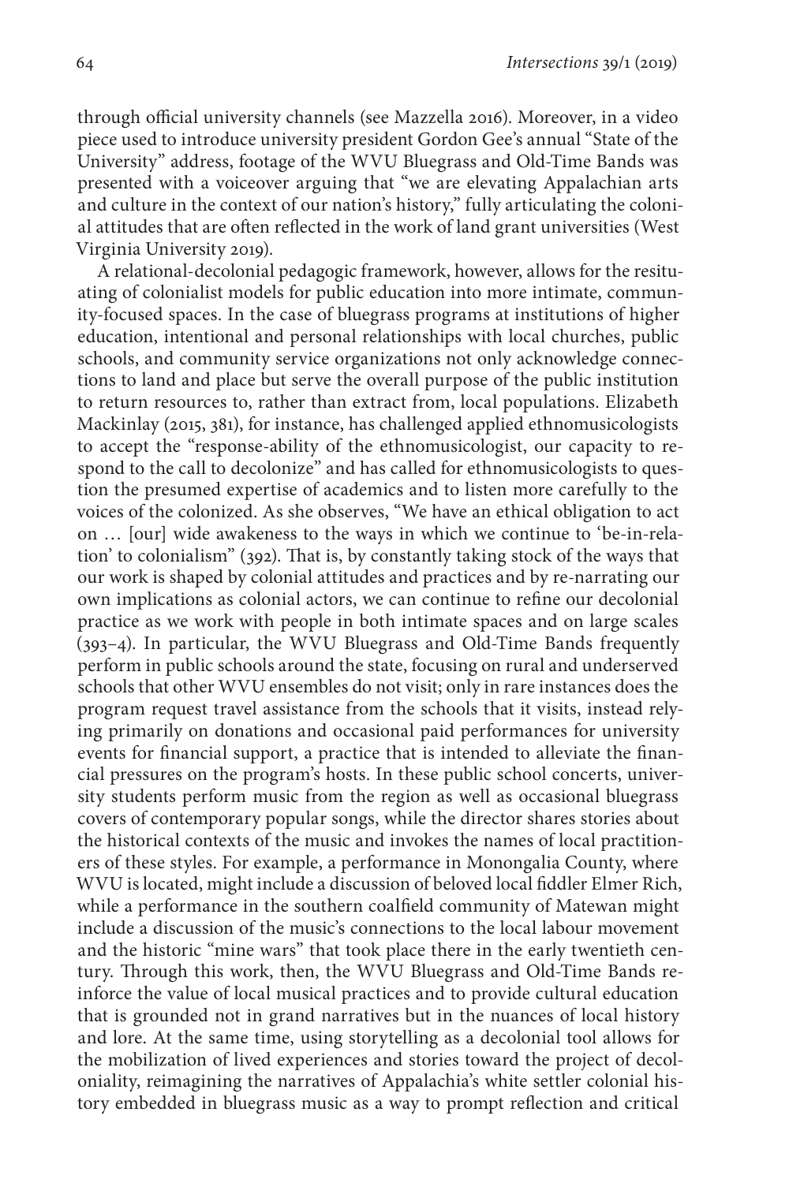through official university channels (see Mazzella 2016). Moreover, in a video piece used to introduce university president Gordon Gee's annual "State of the University" address, footage of the WVU Bluegrass and Old-Time Bands was presented with a voiceover arguing that "we are elevating Appalachian arts and culture in the context of our nation's history," fully articulating the colonial attitudes that are often reflected in the work of land grant universities (West Virginia University 2019).

A relational-decolonial pedagogic framework, however, allows for the resituating of colonialist models for public education into more intimate, community-focused spaces. In the case of bluegrass programs at institutions of higher education, intentional and personal relationships with local churches, public schools, and community service organizations not only acknowledge connections to land and place but serve the overall purpose of the public institution to return resources to, rather than extract from, local populations. Elizabeth Mackinlay (2015, 381), for instance, has challenged applied ethnomusicologists to accept the "response-ability of the ethnomusicologist, our capacity to respond to the call to decolonize" and has called for ethnomusicologists to question the presumed expertise of academics and to listen more carefully to the voices of the colonized. As she observes, "We have an ethical obligation to act on … [our] wide awakeness to the ways in which we continue to 'be-in-relation' to colonialism" (392). That is, by constantly taking stock of the ways that our work is shaped by colonial attitudes and practices and by re-narrating our own implications as colonial actors, we can continue to refine our decolonial practice as we work with people in both intimate spaces and on large scales (393–4). In particular, the WVU Bluegrass and Old-Time Bands frequently perform in public schools around the state, focusing on rural and underserved schools that other WVU ensembles do not visit; only in rare instances does the program request travel assistance from the schools that it visits, instead relying primarily on donations and occasional paid performances for university events for financial support, a practice that is intended to alleviate the financial pressures on the program's hosts. In these public school concerts, university students perform music from the region as well as occasional bluegrass covers of contemporary popular songs, while the director shares stories about the historical contexts of the music and invokes the names of local practitioners of these styles. For example, a performance in Monongalia County, where WVU is located, might include a discussion of beloved local fiddler Elmer Rich, while a performance in the southern coalfield community of Matewan might include a discussion of the music's connections to the local labour movement and the historic "mine wars" that took place there in the early twentieth century. Through this work, then, the WVU Bluegrass and Old-Time Bands reinforce the value of local musical practices and to provide cultural education that is grounded not in grand narratives but in the nuances of local history and lore. At the same time, using storytelling as a decolonial tool allows for the mobilization of lived experiences and stories toward the project of decoloniality, reimagining the narratives of Appalachia's white settler colonial history embedded in bluegrass music as a way to prompt reflection and critical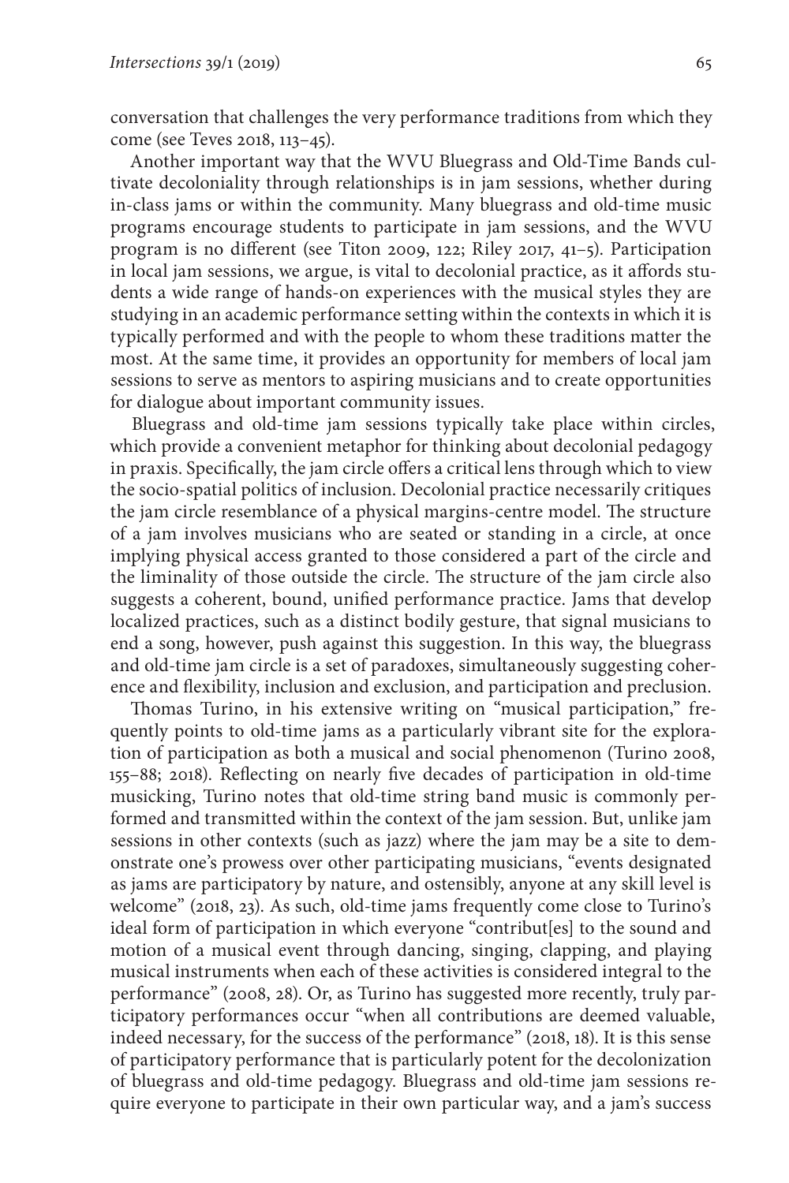conversation that challenges the very performance traditions from which they come (see Teves 2018, 113–45).

Another important way that the WVU Bluegrass and Old-Time Bands cultivate decoloniality through relationships is in jam sessions, whether during in-class jams or within the community. Many bluegrass and old-time music programs encourage students to participate in jam sessions, and the WVU program is no different (see Titon 2009, 122; Riley 2017, 41–5). Participation in local jam sessions, we argue, is vital to decolonial practice, as it affords students a wide range of hands-on experiences with the musical styles they are studying in an academic performance setting within the contexts in which it is typically performed and with the people to whom these traditions matter the most. At the same time, it provides an opportunity for members of local jam sessions to serve as mentors to aspiring musicians and to create opportunities for dialogue about important community issues.

Bluegrass and old-time jam sessions typically take place within circles, which provide a convenient metaphor for thinking about decolonial pedagogy in praxis. Specifically, the jam circle offers a critical lens through which to view the socio-spatial politics of inclusion. Decolonial practice necessarily critiques the jam circle resemblance of a physical margins-centre model. The structure of a jam involves musicians who are seated or standing in a circle, at once implying physical access granted to those considered a part of the circle and the liminality of those outside the circle. The structure of the jam circle also suggests a coherent, bound, unified performance practice. Jams that develop localized practices, such as a distinct bodily gesture, that signal musicians to end a song, however, push against this suggestion. In this way, the bluegrass and old-time jam circle is a set of paradoxes, simultaneously suggesting coherence and flexibility, inclusion and exclusion, and participation and preclusion.

Thomas Turino, in his extensive writing on "musical participation," frequently points to old-time jams as a particularly vibrant site for the exploration of participation as both a musical and social phenomenon (Turino 2008, 155–88; 2018). Reflecting on nearly five decades of participation in old-time musicking, Turino notes that old-time string band music is commonly performed and transmitted within the context of the jam session. But, unlike jam sessions in other contexts (such as jazz) where the jam may be a site to demonstrate one's prowess over other participating musicians, "events designated as jams are participatory by nature, and ostensibly, anyone at any skill level is welcome" (2018, 23). As such, old-time jams frequently come close to Turino's ideal form of participation in which everyone "contribut[es] to the sound and motion of a musical event through dancing, singing, clapping, and playing musical instruments when each of these activities is considered integral to the performance" (2008, 28). Or, as Turino has suggested more recently, truly participatory performances occur "when all contributions are deemed valuable, indeed necessary, for the success of the performance" (2018, 18). It is this sense of participatory performance that is particularly potent for the decolonization of bluegrass and old-time pedagogy. Bluegrass and old-time jam sessions require everyone to participate in their own particular way, and a jam's success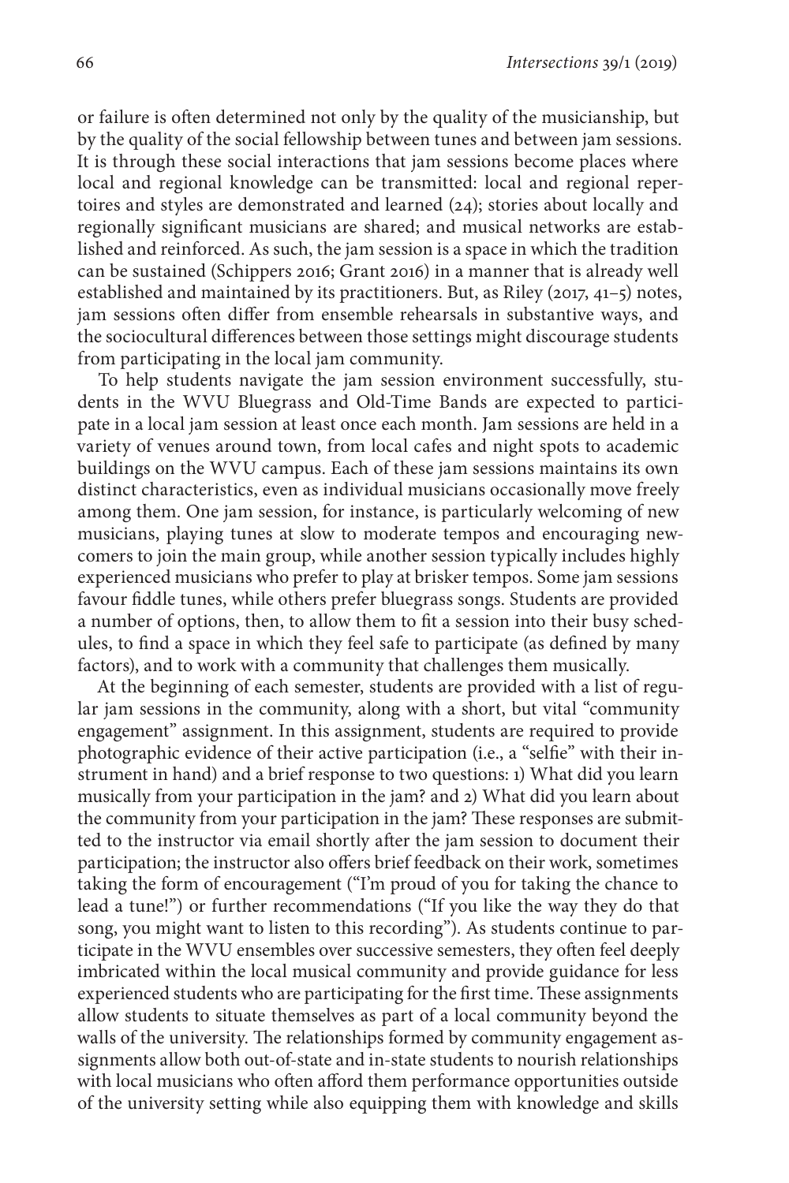or failure is often determined not only by the quality of the musicianship, but by the quality of the social fellowship between tunes and between jam sessions. It is through these social interactions that jam sessions become places where local and regional knowledge can be transmitted: local and regional repertoires and styles are demonstrated and learned (24); stories about locally and regionally significant musicians are shared; and musical networks are established and reinforced. As such, the jam session is a space in which the tradition can be sustained (Schippers 2016; Grant 2016) in a manner that is already well established and maintained by its practitioners. But, as Riley (2017, 41–5) notes, jam sessions often differ from ensemble rehearsals in substantive ways, and the sociocultural differences between those settings might discourage students from participating in the local jam community.

To help students navigate the jam session environment successfully, students in the WVU Bluegrass and Old-Time Bands are expected to participate in a local jam session at least once each month. Jam sessions are held in a variety of venues around town, from local cafes and night spots to academic buildings on the WVU campus. Each of these jam sessions maintains its own distinct characteristics, even as individual musicians occasionally move freely among them. One jam session, for instance, is particularly welcoming of new musicians, playing tunes at slow to moderate tempos and encouraging newcomers to join the main group, while another session typically includes highly experienced musicians who prefer to play at brisker tempos. Some jam sessions favour fiddle tunes, while others prefer bluegrass songs. Students are provided a number of options, then, to allow them to fit a session into their busy schedules, to find a space in which they feel safe to participate (as defined by many factors), and to work with a community that challenges them musically.

At the beginning of each semester, students are provided with a list of regular jam sessions in the community, along with a short, but vital "community engagement" assignment. In this assignment, students are required to provide photographic evidence of their active participation (i.e., a "selfie" with their instrument in hand) and a brief response to two questions: 1) What did you learn musically from your participation in the jam? and 2) What did you learn about the community from your participation in the jam? These responses are submitted to the instructor via email shortly after the jam session to document their participation; the instructor also offers brief feedback on their work, sometimes taking the form of encouragement ("I'm proud of you for taking the chance to lead a tune!") or further recommendations ("If you like the way they do that song, you might want to listen to this recording"). As students continue to participate in the WVU ensembles over successive semesters, they often feel deeply imbricated within the local musical community and provide guidance for less experienced students who are participating for the first time. These assignments allow students to situate themselves as part of a local community beyond the walls of the university. The relationships formed by community engagement assignments allow both out-of-state and in-state students to nourish relationships with local musicians who often afford them performance opportunities outside of the university setting while also equipping them with knowledge and skills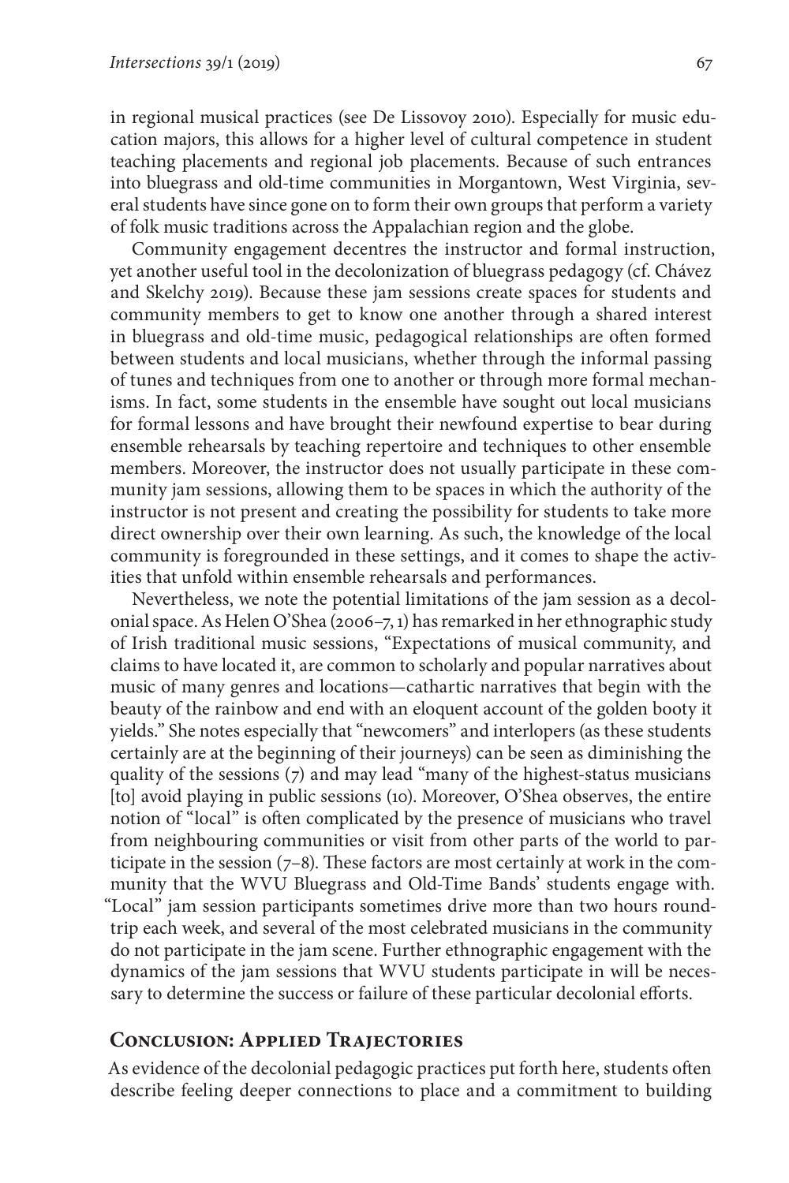in regional musical practices (see De Lissovoy 2010). Especially for music education majors, this allows for a higher level of cultural competence in student teaching placements and regional job placements. Because of such entrances into bluegrass and old-time communities in Morgantown, West Virginia, several students have since gone on to form their own groups that perform a variety of folk music traditions across the Appalachian region and the globe.

Community engagement decentres the instructor and formal instruction, yet another useful tool in the decolonization of bluegrass pedagogy (cf. Chávez and Skelchy 2019). Because these jam sessions create spaces for students and community members to get to know one another through a shared interest in bluegrass and old-time music, pedagogical relationships are often formed between students and local musicians, whether through the informal passing of tunes and techniques from one to another or through more formal mechanisms. In fact, some students in the ensemble have sought out local musicians for formal lessons and have brought their newfound expertise to bear during ensemble rehearsals by teaching repertoire and techniques to other ensemble members. Moreover, the instructor does not usually participate in these community jam sessions, allowing them to be spaces in which the authority of the instructor is not present and creating the possibility for students to take more direct ownership over their own learning. As such, the knowledge of the local community is foregrounded in these settings, and it comes to shape the activities that unfold within ensemble rehearsals and performances.

Nevertheless, we note the potential limitations of the jam session as a decolonial space. As Helen O'Shea (2006–7, 1) has remarked in her ethnographic study of Irish traditional music sessions, "Expectations of musical community, and claims to have located it, are common to scholarly and popular narratives about music of many genres and locations—cathartic narratives that begin with the beauty of the rainbow and end with an eloquent account of the golden booty it yields." She notes especially that "newcomers" and interlopers (as these students certainly are at the beginning of their journeys) can be seen as diminishing the quality of the sessions (7) and may lead "many of the highest-status musicians [to] avoid playing in public sessions (10). Moreover, O'Shea observes, the entire notion of "local" is often complicated by the presence of musicians who travel from neighbouring communities or visit from other parts of the world to participate in the session  $(7-8)$ . These factors are most certainly at work in the community that the WVU Bluegrass and Old-Time Bands' students engage with. "Local" jam session participants sometimes drive more than two hours roundtrip each week, and several of the most celebrated musicians in the community do not participate in the jam scene. Further ethnographic engagement with the dynamics of the jam sessions that WVU students participate in will be necessary to determine the success or failure of these particular decolonial efforts.

#### **Conclusion: Applied Trajectories**

As evidence of the decolonial pedagogic practices put forth here, students often describe feeling deeper connections to place and a commitment to building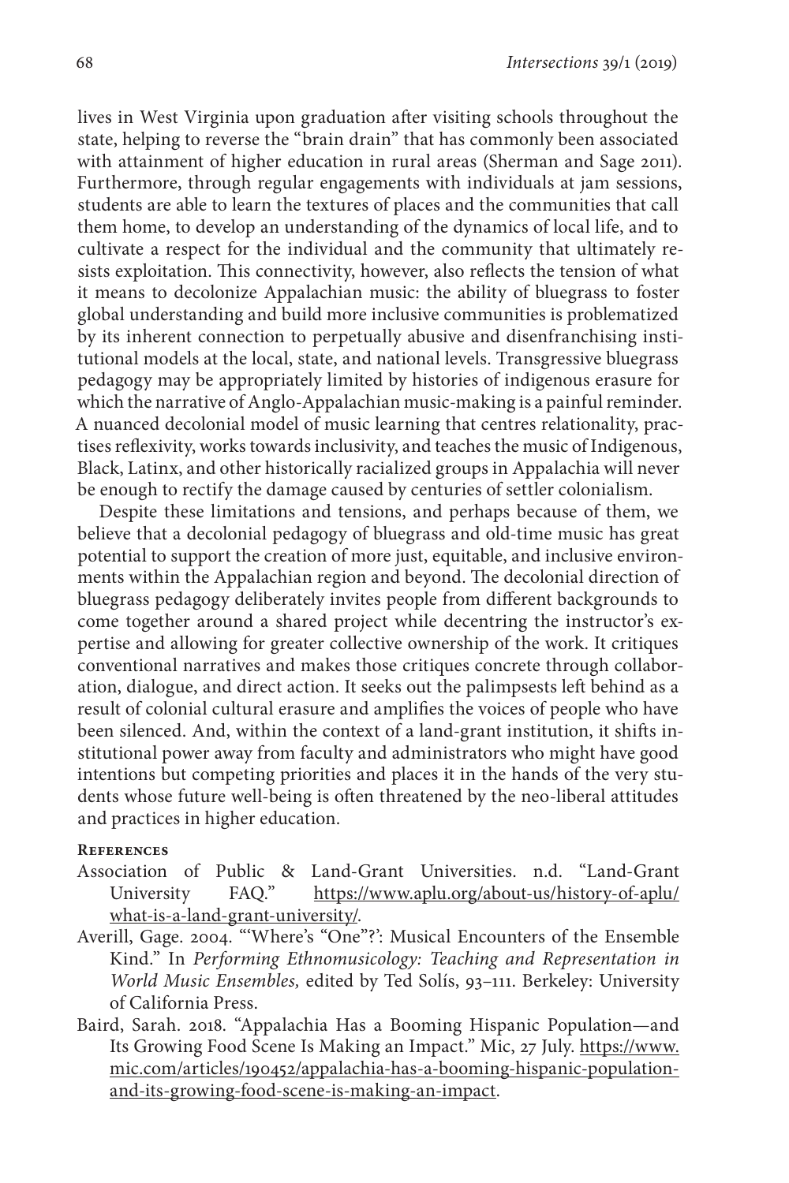lives in West Virginia upon graduation after visiting schools throughout the state, helping to reverse the "brain drain" that has commonly been associated with attainment of higher education in rural areas (Sherman and Sage 2011). Furthermore, through regular engagements with individuals at jam sessions, students are able to learn the textures of places and the communities that call them home, to develop an understanding of the dynamics of local life, and to cultivate a respect for the individual and the community that ultimately resists exploitation. This connectivity, however, also reflects the tension of what it means to decolonize Appalachian music: the ability of bluegrass to foster global understanding and build more inclusive communities is problematized by its inherent connection to perpetually abusive and disenfranchising institutional models at the local, state, and national levels. Transgressive bluegrass pedagogy may be appropriately limited by histories of indigenous erasure for which the narrative of Anglo-Appalachian music-making is a painful reminder. A nuanced decolonial model of music learning that centres relationality, practises reflexivity, works towards inclusivity, and teaches the music of Indigenous, Black, Latinx, and other historically racialized groups in Appalachia will never be enough to rectify the damage caused by centuries of settler colonialism.

Despite these limitations and tensions, and perhaps because of them, we believe that a decolonial pedagogy of bluegrass and old-time music has great potential to support the creation of more just, equitable, and inclusive environments within the Appalachian region and beyond. The decolonial direction of bluegrass pedagogy deliberately invites people from different backgrounds to come together around a shared project while decentring the instructor's expertise and allowing for greater collective ownership of the work. It critiques conventional narratives and makes those critiques concrete through collaboration, dialogue, and direct action. It seeks out the palimpsests left behind as a result of colonial cultural erasure and amplifies the voices of people who have been silenced. And, within the context of a land-grant institution, it shifts institutional power away from faculty and administrators who might have good intentions but competing priorities and places it in the hands of the very students whose future well-being is often threatened by the neo-liberal attitudes and practices in higher education.

#### **References**

- Association of Public & Land-Grant Universities. n.d. "Land-Grant University FAQ." [https://www.aplu.org/about-us/history-of-aplu/](https://www.aplu.org/about-us/history-of-aplu/what-is-a-land-grant-university/) [what-is-a-land-grant-university/.](https://www.aplu.org/about-us/history-of-aplu/what-is-a-land-grant-university/)
- Averill, Gage. 2004. "'Where's "One"?': Musical Encounters of the Ensemble Kind." In *Performing Ethnomusicology: Teaching and Representation in World Music Ensembles,* edited by Ted Solís, 93–111. Berkeley: University of California Press.
- Baird, Sarah. 2018. "Appalachia Has a Booming Hispanic Population—and Its Growing Food Scene Is Making an Impact." Mic, 27 July. [https://www.](https://www.mic.com/articles/190452/appalachia-has-a-booming-hispanic-population-and-its-growing-food-scene-is-making-an-impact) [mic.com/articles/190452/appalachia-has-a-booming-hispanic-population](https://www.mic.com/articles/190452/appalachia-has-a-booming-hispanic-population-and-its-growing-food-scene-is-making-an-impact)[and-its-growing-food-scene-is-making-an-impact.](https://www.mic.com/articles/190452/appalachia-has-a-booming-hispanic-population-and-its-growing-food-scene-is-making-an-impact)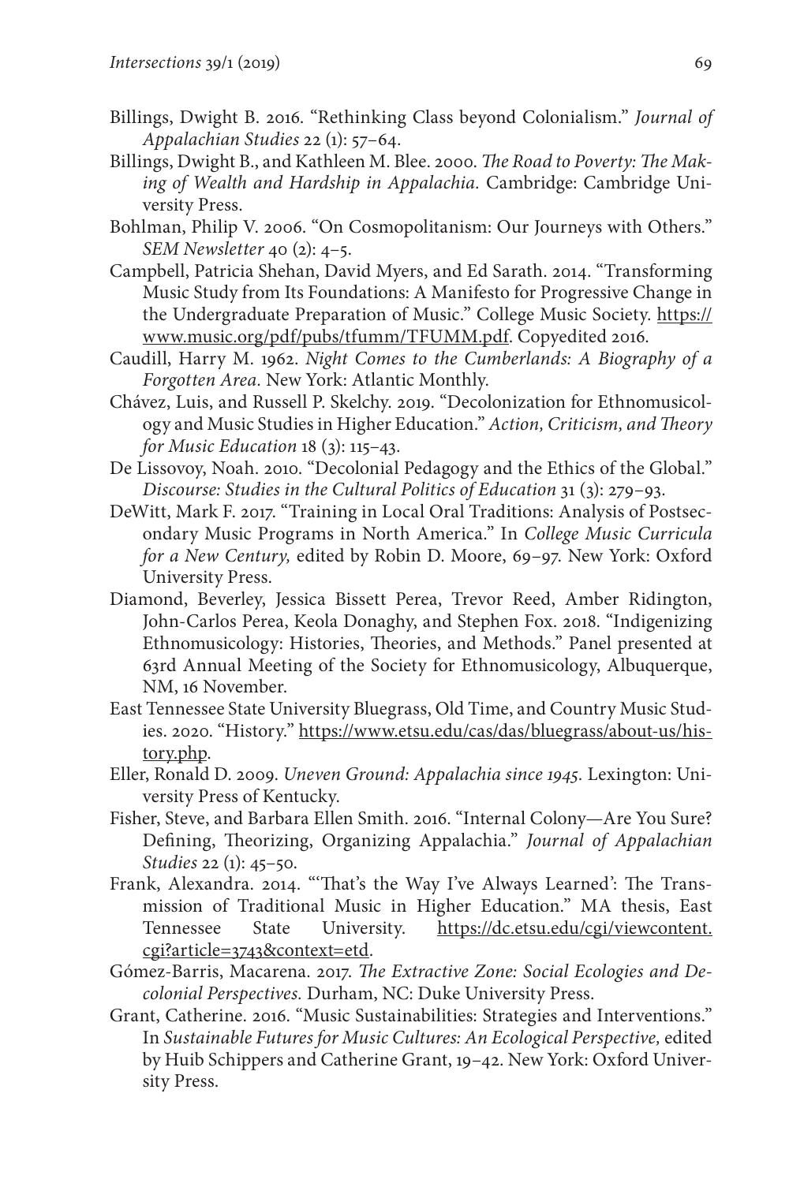- Billings, Dwight B. 2016. "Rethinking Class beyond Colonialism." *Journal of Appalachian Studies* 22 (1): 57–64.
- Billings, Dwight B., and Kathleen M. Blee. 2000. *The Road to Poverty: The Making of Wealth and Hardship in Appalachia.* Cambridge: Cambridge University Press.
- Bohlman, Philip V. 2006. "On Cosmopolitanism: Our Journeys with Others." *SEM Newsletter* 40 (2): 4–5.
- Campbell, Patricia Shehan, David Myers, and Ed Sarath. 2014. "Transforming Music Study from Its Foundations: A Manifesto for Progressive Change in the Undergraduate Preparation of Music." College Music Society. [https://](https://www.music.org/pdf/pubs/tfumm/TFUMM.pdf) [www.music.org/pdf/pubs/tfumm/TFUMM.pdf.](https://www.music.org/pdf/pubs/tfumm/TFUMM.pdf) Copyedited 2016.
- Caudill, Harry M. 1962. *Night Comes to the Cumberlands: A Biography of a Forgotten Area.* New York: Atlantic Monthly.
- Chávez, Luis, and Russell P. Skelchy. 2019. "Decolonization for Ethnomusicology and Music Studies in Higher Education." *Action, Criticism, and Theory for Music Education* 18 (3): 115–43.
- De Lissovoy, Noah. 2010. "Decolonial Pedagogy and the Ethics of the Global." *Discourse: Studies in the Cultural Politics of Education* 31 (3): 279–93.
- DeWitt, Mark F. 2017. "Training in Local Oral Traditions: Analysis of Postsecondary Music Programs in North America." In *College Music Curricula for a New Century,* edited by Robin D. Moore, 69–97. New York: Oxford University Press.
- Diamond, Beverley, Jessica Bissett Perea, Trevor Reed, Amber Ridington, John-Carlos Perea, Keola Donaghy, and Stephen Fox. 2018. "Indigenizing Ethnomusicology: Histories, Theories, and Methods." Panel presented at 63rd Annual Meeting of the Society for Ethnomusicology, Albuquerque, NM, 16 November.
- East Tennessee State University Bluegrass, Old Time, and Country Music Studies. 2020. "History." [https://www.etsu.edu/cas/das/bluegrass/about-us/his](https://www.etsu.edu/cas/das/bluegrass/about-us/history.php)[tory.php](https://www.etsu.edu/cas/das/bluegrass/about-us/history.php).
- Eller, Ronald D. 2009. *Uneven Ground: Appalachia since 1945.* Lexington: University Press of Kentucky.
- Fisher, Steve, and Barbara Ellen Smith. 2016. "Internal Colony—Are You Sure? Defining, Theorizing, Organizing Appalachia." *Journal of Appalachian Studies* 22 (1): 45–50.
- Frank, Alexandra. 2014. "'That's the Way I've Always Learned': The Transmission of Traditional Music in Higher Education." MA thesis, East Tennessee State University. [https://dc.etsu.edu/cgi/viewcontent.](https://dc.etsu.edu/cgi/viewcontent.cgi?article=3743&context=etd) [cgi?article=3743&context=etd](https://dc.etsu.edu/cgi/viewcontent.cgi?article=3743&context=etd).
- Gómez-Barris, Macarena. 2017. *The Extractive Zone: Social Ecologies and Decolonial Perspectives.* Durham, NC: Duke University Press.
- Grant, Catherine. 2016. "Music Sustainabilities: Strategies and Interventions." In *Sustainable Futures for Music Cultures: An Ecological Perspective,* edited by Huib Schippers and Catherine Grant, 19–42. New York: Oxford University Press.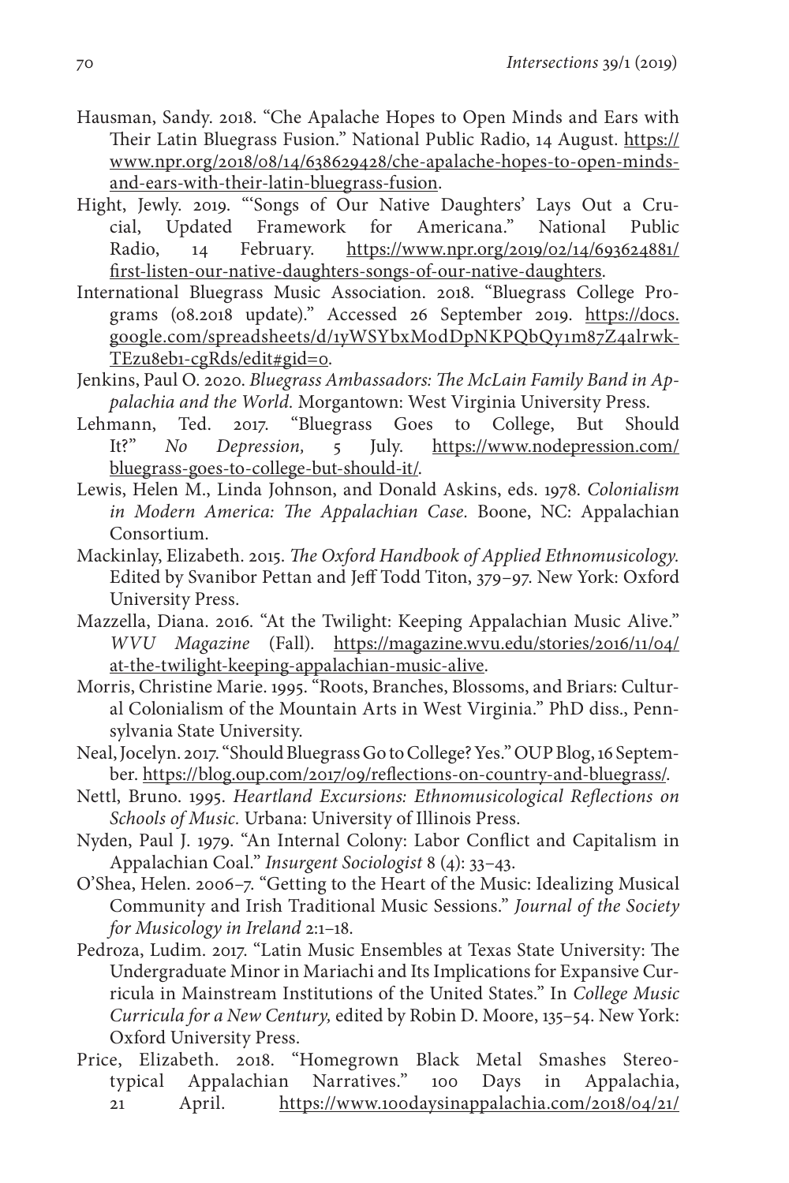Hausman, Sandy. 2018. "Che Apalache Hopes to Open Minds and Ears with Their Latin Bluegrass Fusion." National Public Radio, 14 August. [https://](https://www.npr.org/2018/08/14/638629428/che-apalache-hopes-to-open-minds-and-ears-with-their-latin-bluegrass-fusion) [www.npr.org/2018/08/14/638629428/che-apalache-hopes-to-open-minds](https://www.npr.org/2018/08/14/638629428/che-apalache-hopes-to-open-minds-and-ears-with-their-latin-bluegrass-fusion)[and-ears-with-their-latin-bluegrass-fusion.](https://www.npr.org/2018/08/14/638629428/che-apalache-hopes-to-open-minds-and-ears-with-their-latin-bluegrass-fusion)

- Hight, Jewly. 2019. "'Songs of Our Native Daughters' Lays Out a Crucial, Updated Framework for Americana." National Public Radio, 14 February. [https://www.npr.org/2019/02/14/693624881/](https://www.npr.org/2019/02/14/693624881/first-listen-our-native-daughters-songs-of-our-native-daughters) [first-listen-our-native-daughters-songs-of-our-native-daughters.](https://www.npr.org/2019/02/14/693624881/first-listen-our-native-daughters-songs-of-our-native-daughters)
- International Bluegrass Music Association. 2018. "Bluegrass College Programs (08.2018 update)." Accessed 26 September 2019. https://docs. google.com/spreadsheets/d/1yWSYbxM0dDpNKPQbQy1m87Z4alrwk-TEzu8eb1-cgRds/edit#gid=0.
- Jenkins, Paul O. 2020. *Bluegrass Ambassadors: The McLain Family Band in Appalachia and the World.* Morgantown: West Virginia University Press.
- Lehmann, Ted. 2017. "Bluegrass Goes to College, But Should It?" *No Depression,* 5 July. [https://www.nodepression.com/](https://www.nodepression.com/bluegrass-goes-to-college-but-should-it/) [bluegrass-goes-to-college-but-should-it/.](https://www.nodepression.com/bluegrass-goes-to-college-but-should-it/)
- Lewis, Helen M., Linda Johnson, and Donald Askins, eds. 1978. *Colonialism in Modern America: The Appalachian Case.* Boone, NC: Appalachian Consortium.
- Mackinlay, Elizabeth. 2015. *The Oxford Handbook of Applied Ethnomusicology.* Edited by Svanibor Pettan and Jeff Todd Titon, 379–97. New York: Oxford University Press.
- Mazzella, Diana. 2016. "At the Twilight: Keeping Appalachian Music Alive." *WVU Magazine* (Fall). [https://magazine.wvu.edu/stories/2016/11/04/](https://magazine.wvu.edu/stories/2016/11/04/at-the-twilight-keeping-appalachian-music-alive) [at-the-twilight-keeping-appalachian-music-alive](https://magazine.wvu.edu/stories/2016/11/04/at-the-twilight-keeping-appalachian-music-alive).
- Morris, Christine Marie. 1995. "Roots, Branches, Blossoms, and Briars: Cultural Colonialism of the Mountain Arts in West Virginia." PhD diss., Pennsylvania State University.
- Neal, Jocelyn. 2017. "Should Bluegrass Go to College? Yes." OUP Blog, 16 September. [https://blog.oup.com/2017/09/reflections-on-country-and-bluegrass/.](https://blog.oup.com/2017/09/reflections-on-country-and-bluegrass/)
- Nettl, Bruno. 1995. *Heartland Excursions: Ethnomusicological Reflections on Schools of Music.* Urbana: University of Illinois Press.
- Nyden, Paul J. 1979. "An Internal Colony: Labor Conflict and Capitalism in Appalachian Coal." *Insurgent Sociologist* 8 (4): 33–43.
- O'Shea, Helen. 2006–7. "Getting to the Heart of the Music: Idealizing Musical Community and Irish Traditional Music Sessions." *Journal of the Society for Musicology in Ireland* 2:1–18.
- Pedroza, Ludim. 2017. "Latin Music Ensembles at Texas State University: The Undergraduate Minor in Mariachi and Its Implications for Expansive Curricula in Mainstream Institutions of the United States." In *College Music Curricula for a New Century,* edited by Robin D. Moore, 135–54. New York: Oxford University Press.
- Price, Elizabeth. 2018. "Homegrown Black Metal Smashes Stereotypical Appalachian Narratives." 100 Days in Appalachia, 21 April. [https://www.100daysinappalachia.com/2018/04/21/](https://www.100daysinappalachia.com/2018/04/21/homegrown-black-metal-smashes-stereotypical-appalachian-narratives/)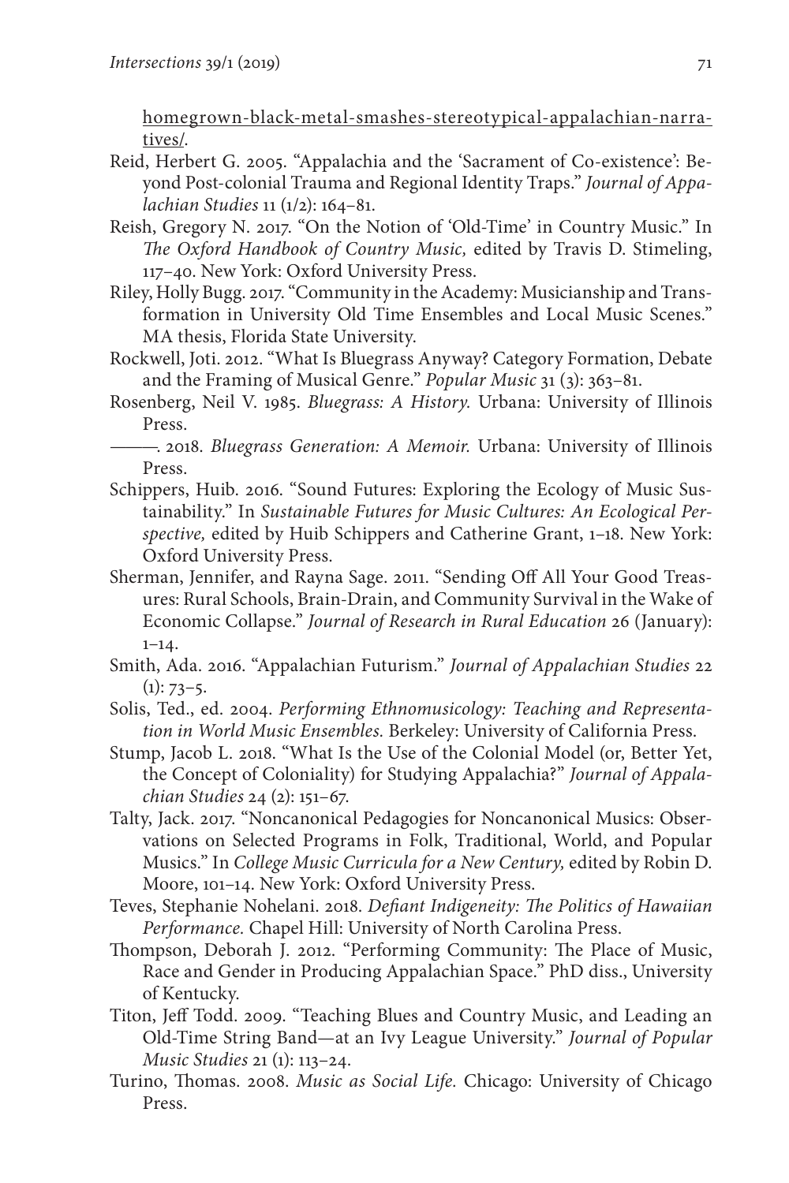[homegrown-black-metal-smashes-stereotypical-appalachian-narra](https://www.100daysinappalachia.com/2018/04/21/homegrown-black-metal-smashes-stereotypical-appalachian-narratives/)[tives/.](https://www.100daysinappalachia.com/2018/04/21/homegrown-black-metal-smashes-stereotypical-appalachian-narratives/)

- Reid, Herbert G. 2005. "Appalachia and the 'Sacrament of Co-existence': Beyond Post-colonial Trauma and Regional Identity Traps." *Journal of Appalachian Studies* 11 (1/2): 164–81.
- Reish, Gregory N. 2017. "On the Notion of 'Old-Time' in Country Music." In *The Oxford Handbook of Country Music,* edited by Travis D. Stimeling, 117–40. New York: Oxford University Press.
- Riley, Holly Bugg. 2017. "Community in the Academy: Musicianship and Transformation in University Old Time Ensembles and Local Music Scenes." MA thesis, Florida State University.
- Rockwell, Joti. 2012. "What Is Bluegrass Anyway? Category Formation, Debate and the Framing of Musical Genre." *Popular Music* 31 (3): 363–81.
- Rosenberg, Neil V. 1985. *Bluegrass: A History.* Urbana: University of Illinois Press.
- ———. 2018. *Bluegrass Generation: A Memoir.* Urbana: University of Illinois Press.
- Schippers, Huib. 2016. "Sound Futures: Exploring the Ecology of Music Sustainability." In *Sustainable Futures for Music Cultures: An Ecological Perspective,* edited by Huib Schippers and Catherine Grant, 1–18. New York: Oxford University Press.
- Sherman, Jennifer, and Rayna Sage. 2011. "Sending Off All Your Good Treasures: Rural Schools, Brain-Drain, and Community Survival in the Wake of Economic Collapse." *Journal of Research in Rural Education* 26 (January): 1–14.
- Smith, Ada. 2016. "Appalachian Futurism." *Journal of Appalachian Studies* 22  $(1): 73-5.$
- Solis, Ted., ed. 2004. *Performing Ethnomusicology: Teaching and Representation in World Music Ensembles.* Berkeley: University of California Press.
- Stump, Jacob L. 2018. "What Is the Use of the Colonial Model (or, Better Yet, the Concept of Coloniality) for Studying Appalachia?" *Journal of Appalachian Studies* 24 (2): 151–67.
- Talty, Jack. 2017. "Noncanonical Pedagogies for Noncanonical Musics: Observations on Selected Programs in Folk, Traditional, World, and Popular Musics." In *College Music Curricula for a New Century,* edited by Robin D. Moore, 101–14. New York: Oxford University Press.
- Teves, Stephanie Nohelani. 2018. *Defiant Indigeneity: The Politics of Hawaiian Performance.* Chapel Hill: University of North Carolina Press.
- Thompson, Deborah J. 2012. "Performing Community: The Place of Music, Race and Gender in Producing Appalachian Space." PhD diss., University of Kentucky.
- Titon, Jeff Todd. 2009. "Teaching Blues and Country Music, and Leading an Old-Time String Band—at an Ivy League University." *Journal of Popular Music Studies* 21 (1): 113–24.
- Turino, Thomas. 2008. *Music as Social Life.* Chicago: University of Chicago Press.